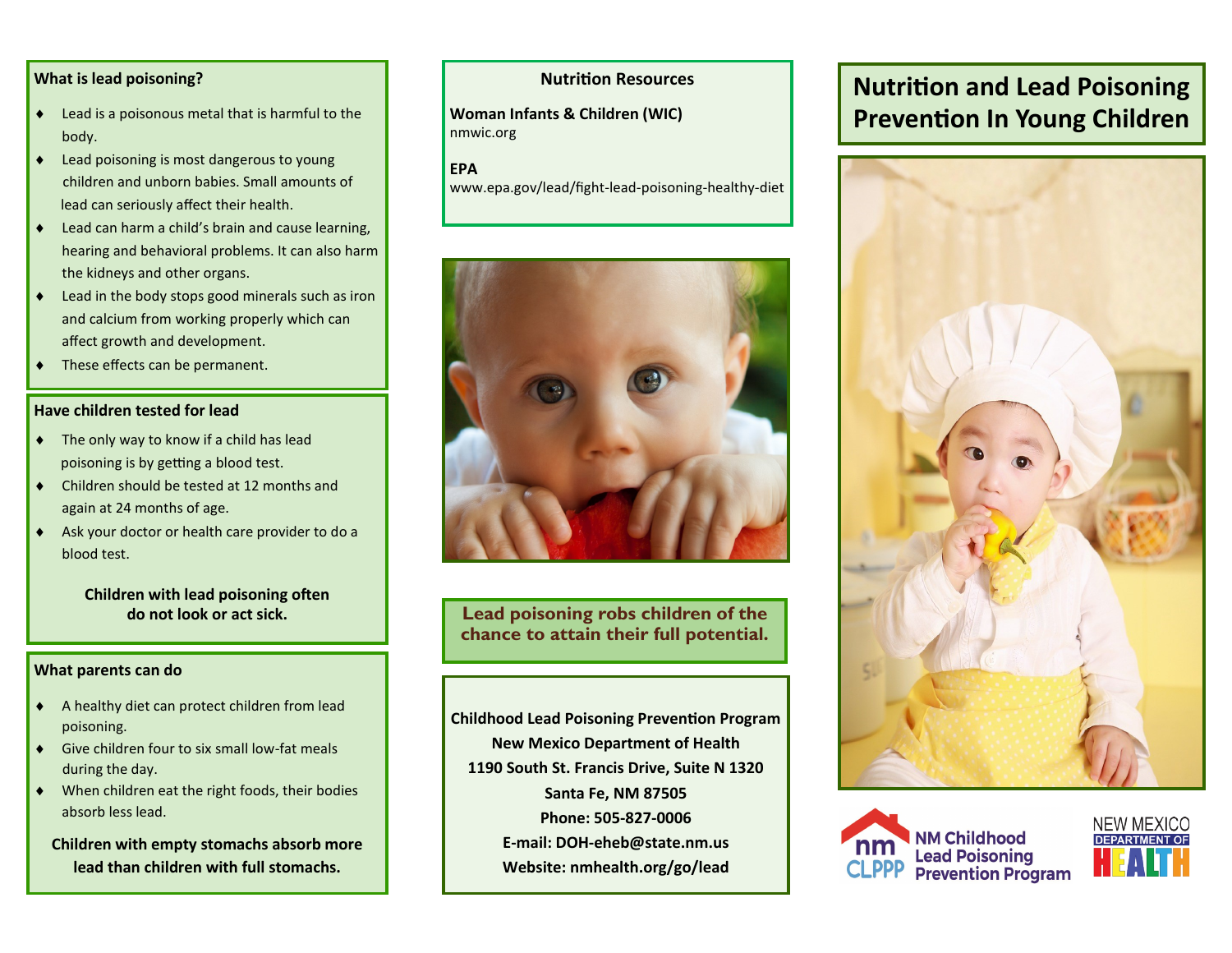# **What is lead poisoning?**

- Lead is a poisonous metal that is harmful to the body.
- ◆ Lead poisoning is most dangerous to young children and unborn babies. Small amounts of lead can seriously affect their health.
- ◆ Lead can harm a child's brain and cause learning, hearing and behavioral problems. It can also harm the kidneys and other organs.
- ◆ Lead in the body stops good minerals such as iron and calcium from working properly which can affect growth and development.
- These effects can be permanent.

## **Have children tested for lead**

- ◆ The only way to know if a child has lead poisoning is by getting a blood test.
- Children should be tested at 12 months and again at 24 months of age.
- Ask your doctor or health care provider to do a blood test.

**Children with lead poisoning often do not look or act sick.** 

## **What parents can do**

- A healthy diet can protect children from lead poisoning.
- Give children four to six small low-fat meals during the day.
- When children eat the right foods, their bodies absorb less lead.

**Children with empty stomachs absorb more lead than children with full stomachs.** 

# **Nutrition Resources**

**Woman Infants & Children (WIC)**  nmwic.org

**EPA** www.epa.gov/lead/fight-lead-poisoning-healthy-diet



**Lead poisoning robs children of the chance to attain their full potential.**

**Childhood Lead Poisoning Prevention Program New Mexico Department of Health 1190 South St. Francis Drive, Suite N 1320 Santa Fe, NM 87505 Phone: 505-827-0006 E-mail: DOH-eheb@state.nm.us Website: nmhealth.org/go/lead**

# **Nutrition and Lead Poisoning Prevention In Young Children**